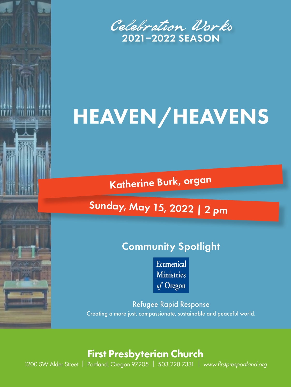

# HEAVEN/HEAVENS

Katherine Burk, organ

# Sunday, May 15, 2022 | 2 pm

# Community Spotlight

Ecumenical **Ministries** of Oregon

Refugee Rapid Response Creating a more just, compassionate, sustainable and peaceful world.

## First Presbyterian Church

1200 SW Alder Street | Portland, Oregon 97205 | 503.228.7331 | www.firstpresportland.org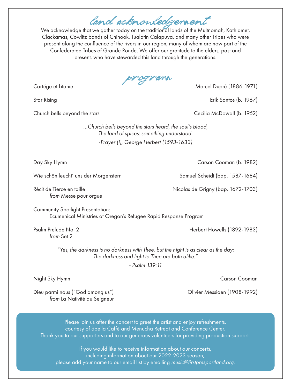land acknowledgement

We acknowledge that we gather today on the traditional lands of the Multnomah, Kathlamet, Clackamas, Cowlitz bands of Chinook, Tualatin Calapuya, and many other Tribes who were present along the confluence of the rivers in our region, many of whom are now part of the Confederated Tribes of Grande Ronde. We offer our gratitude to the elders, past and present, who have stewarded this land through the generations.

program

Cortége et Litanie Marcel Dupré (1886-1971)

Star Rising Erik Santos (b. 1967)

Church bells beyond the stars Cecilia McDowall (b. 1952)

*…Church bells beyond the stars heard, the soul's blood, The land of spices; something understood. -Prayer (I), George Herbert (1593-1633)*

Wie schön leucht' uns der Morgenstern Samuel Scheidt (bap. 1587-1684)

*from* Messe pour orgue

Community Spotlight Presentation: Ecumenical Ministries of Oregon's Refugee Rapid Response Program

*from* Set 2

Psalm Prelude No. 2 **Herbert Howells (1892-1983)** 

*"Yes, the darkness is no darkness with Thee, but the night is as clear as the day: The darkness and light to Thee are both alike."*

*- Psalm 139:11*

Night Sky Hymn Carson Cooman Carson Cooman Carson Cooman Carson Cooman Carson Cooman Carson Cooman Carson Cooman

Dieu parmi nous ("God among us") Olivier Messiaen (1908-1992) *from* La Nativité du Seigneur

Please join us after the concert to greet the artist and enjoy refreshments, courtesy of Spella Caffè and Menucha Retreat and Conference Center. Thank you to our supporters and to our generous volunteers for providing production support.

If you would like to receive information about our concerts, including information about our 2022-2023 season, please add your name to our email list by emailing music@firstpresportland.org.

Day Sky Hymn Carson Cooman (b. 1982)

Récit de Tierce en taille **Nicolas de Grigny (bap. 1672-1703**)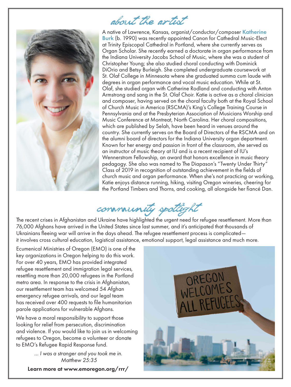

# about the artist

A native of Lawrence, Kansas, organist/conductor/composer Katherine Burk (b. 1990) was recently appointed Canon for Cathedral Music-Elect at Trinity Episcopal Cathedral in Portland, where she currently serves as Organ Scholar. She recently earned a doctorate in organ performance from the Indiana University Jacobs School of Music, where she was a student of Christopher Young; she also studied choral conducting with Dominick DiOrio and Betsy Burleigh. She completed undergraduate coursework at St. Olaf College in Minnesota where she graduated summa cum laude with degrees in organ performance and vocal music education. While at St. Olaf, she studied organ with Catherine Rodland and conducting with Anton Armstrong and sang in the St. Olaf Choir. Katie is active as a choral clinician and composer, having served on the choral faculty both at the Royal School of Church Music in America (RSCMA)'s King's College Training Course in Pennsylvania and at the Presbyterian Association of Musicians Worship and Music Conference at Montreat, North Carolina. Her choral compositions, which are published by Selah, have been heard in venues around the country. She currently serves on the Board of Directors of the RSCMA and on the alumni board of directors for the Indiana University organ department. Known for her energy and passion in front of the classroom, she served as an instructor of music theory at IU and is a recent recipient of IU's Wennerstrom Fellowship, an award that honors excellence in music theory pedagogy. She also was named to The Diapason's "Twenty Under Thirty" Class of 2019 in recognition of outstanding achievement in the fields of church music and organ performance. When she's not practicing or working, Katie enjoys distance running, hiking, visiting Oregon wineries, cheering for the Portland Timbers and Thorns, and cooking, all alongside her fiancé Dan.

community spotlight

The recent crises in Afghanistan and Ukraine have highlighted the urgent need for refugee resettlement. More than 76,000 Afghans have arrived in the United States since last summer, and it's anticipated that thousands of Ukrainians fleeing war will arrive in the days ahead. The refugee resettlement process is complicated it involves cross cultural education, logistical assistance, emotional support, legal assistance and much more.

Ecumenical Ministries of Oregon (EMO) is one of the key organizations in Oregon helping to do this work. For over 40 years, EMO has provided integrated refugee resettlement and immigration legal services, resettling more than 20,000 refugees in the Portland metro area. In response to the crisis in Afghanistan, our resettlement team has welcomed 54 Afghan emergency refugee arrivals, and our legal team has received over 400 requests to file humanitarian parole applications for vulnerable Afghans.

We have a moral responsibility to support those looking for relief from persecution, discrimination and violence. If you would like to join us in welcoming refugees to Oregon, become a volunteer or donate to EMO's Refugee Rapid Response fund.

> *… I was a stranger and you took me in. Matthew 25:35*

Learn more at www.emoregon.org/rrr/